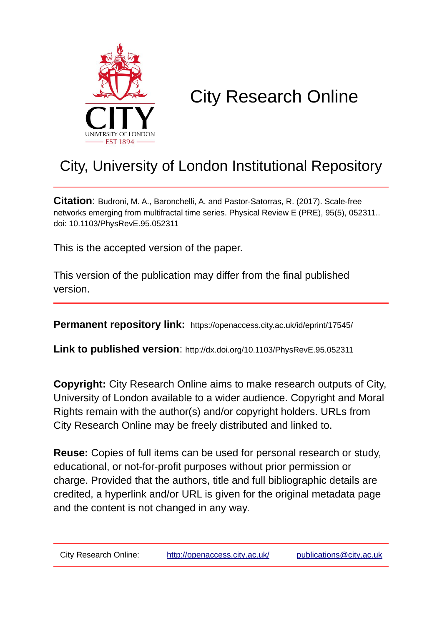

# City Research Online

## City, University of London Institutional Repository

**Citation**: Budroni, M. A., Baronchelli, A. and Pastor-Satorras, R. (2017). Scale-free networks emerging from multifractal time series. Physical Review E (PRE), 95(5), 052311.. doi: 10.1103/PhysRevE.95.052311

This is the accepted version of the paper.

This version of the publication may differ from the final published version.

**Permanent repository link:** https://openaccess.city.ac.uk/id/eprint/17545/

**Link to published version**: http://dx.doi.org/10.1103/PhysRevE.95.052311

**Copyright:** City Research Online aims to make research outputs of City, University of London available to a wider audience. Copyright and Moral Rights remain with the author(s) and/or copyright holders. URLs from City Research Online may be freely distributed and linked to.

**Reuse:** Copies of full items can be used for personal research or study, educational, or not-for-profit purposes without prior permission or charge. Provided that the authors, title and full bibliographic details are credited, a hyperlink and/or URL is given for the original metadata page and the content is not changed in any way.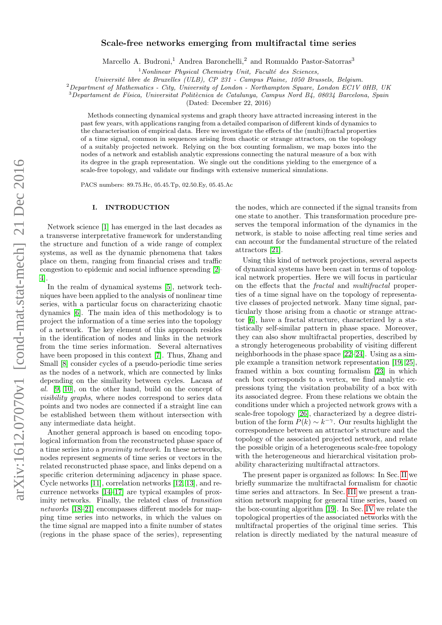# $arXiv:1612.070v1$  [cond-mat.stat-mech] 21 Dec 2016 arXiv:1612.07070v1 [cond-mat.stat-mech] 21 Dec 2016

### Scale-free networks emerging from multifractal time series

Marcello A. Budroni,<sup>1</sup> Andrea Baronchelli,<sup>2</sup> and Romualdo Pastor-Satorras<sup>3</sup>

 $1$ Nonlinear Physical Chemistry Unit, Faculté des Sciences,

Université libre de Bruxelles (ULB), CP 231 - Campus Plaine, 1050 Brussels, Belgium.

 $2$ Department of Mathematics - City, University of London - Northampton Square, London EC1V 0HB, UK

 $3$ Departament de Física, Universitat Politècnica de Catalunya, Campus Nord B4, 08034 Barcelona, Spain

(Dated: December 22, 2016)

Methods connecting dynamical systems and graph theory have attracted increasing interest in the past few years, with applications ranging from a detailed comparison of different kinds of dynamics to the characterisation of empirical data. Here we investigate the effects of the (multi)fractal properties of a time signal, common in sequences arising from chaotic or strange attractors, on the topology of a suitably projected network. Relying on the box counting formalism, we map boxes into the nodes of a network and establish analytic expressions connecting the natural measure of a box with its degree in the graph representation. We single out the conditions yielding to the emergence of a scale-free topology, and validate our findings with extensive numerical simulations.

PACS numbers: 89.75.Hc, 05.45.Tp, 02.50.Ey, 05.45.Ac

### I. INTRODUCTION

Network science [\[1\]](#page-7-0) has emerged in the last decades as a transverse interpretative framework for understanding the structure and function of a wide range of complex systems, as well as the dynamic phenomena that takes place on them, ranging from financial crises and traffic congestion to epidemic and social influence spreading [\[2–](#page-7-1) [4\]](#page-7-2).

In the realm of dynamical systems [\[5\]](#page-7-3), network techniques have been applied to the analysis of nonlinear time series, with a particular focus on characterizing chaotic dynamics [\[6\]](#page-7-4). The main idea of this methodology is to project the information of a time series into the topology of a network. The key element of this approach resides in the identification of nodes and links in the network from the time series information. Several alternatives have been proposed in this context [\[7\]](#page-7-5). Thus, Zhang and Small [\[8\]](#page-7-6) consider cycles of a pseudo-periodic time series as the nodes of a network, which are connected by links depending on the similarity between cycles. Lacasa at al. [\[9,](#page-7-7) [10\]](#page-7-8), on the other hand, build on the concept of visibility graphs, where nodes correspond to series data points and two nodes are connected if a straight line can be established between them without intersection with any intermediate data height.

Another general approach is based on encoding topological information from the reconstructed phase space of a time series into a proximity network. In these networks, nodes represent segments of time series or vectors in the related reconstructed phase space, and links depend on a specific criterion determining adjacency in phase space. Cycle networks [\[11\]](#page-7-9), correlation networks [\[12,](#page-7-10) [13\]](#page-7-11), and recurrence networks [\[14](#page-7-12)[–17\]](#page-7-13) are typical examples of proximity networks. Finally, the related class of transition networks [\[18](#page-7-14)[–21\]](#page-8-0) encompasses different models for mapping time series into networks, in which the values on the time signal are mapped into a finite number of states (regions in the phase space of the series), representing the nodes, which are connected if the signal transits from one state to another. This transformation procedure preserves the temporal information of the dynamics in the network, is stable to noise affecting real time series and can account for the fundamental structure of the related attractors [\[21\]](#page-8-0).

Using this kind of network projections, several aspects of dynamical systems have been cast in terms of topological network properties. Here we will focus in particular on the effects that the fractal and multifractal properties of a time signal have on the topology of representative classes of projected network. Many time signal, particularly those arising from a chaotic or strange attractor [\[6\]](#page-7-4), have a fractal structure, characterized by a statistically self-similar pattern in phase space. Moreover, they can also show multifractal properties, described by a strongly heterogeneous probability of visiting different neighborhoods in the phase space [\[22–](#page-8-1)[24\]](#page-8-2). Using as a simple example a transition network representation [\[19,](#page-8-3) [25\]](#page-8-4), framed within a box counting formalism [\[23\]](#page-8-5) in which each box corresponds to a vertex, we find analytic expressions tying the visitation probability of a box with its associated degree. From these relations we obtain the conditions under which a projected network grows with a scale-free topology [\[26\]](#page-8-6), characterized by a degree distribution of the form  $P(k) \sim k^{-\gamma}$ . Our results highlight the correspondence between an attractor's structure and the topology of the associated projected network, and relate the possible origin of a heterogeneous scale-free topology with the heterogeneous and hierarchical visitation probability characterizing multifractal attractors.

The present paper is organized as follows: In Sec. [II](#page-2-0) we briefly summarize the multifractal formalism for chaotic time series and attractors. In Sec. [III](#page-2-1) we present a transition network mapping for general time series, based on the box-counting algorithm [\[19\]](#page-8-3). In Sec. [IV](#page-3-0) we relate the topological properties of the associated networks with the multifractal properties of the original time series. This relation is directly mediated by the natural measure of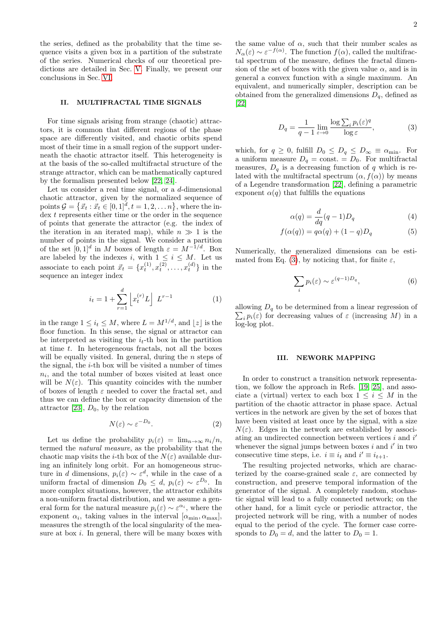the series, defined as the probability that the time sequence visits a given box in a partition of the substrate of the series. Numerical checks of our theoretical predictions are detailed in Sec. [V.](#page-4-0) Finally, we present our conclusions in Sec. [VI.](#page-6-0)

### <span id="page-2-0"></span>II. MULTIFRACTAL TIME SIGNALS

For time signals arising from strange (chaotic) attractors, it is common that different regions of the phase space are differently visited, and chaotic orbits spend most of their time in a small region of the support underneath the chaotic attractor itself. This heterogeneity is at the basis of the so-called multifractal structure of the strange attractor, which can be mathematically captured by the formalism presented below [\[22,](#page-8-1) [24\]](#page-8-2).

Let us consider a real time signal, or a d-dimensional chaotic attractor, given by the normalized sequence of points  $\mathcal{G} = \{\vec{x}_t : \vec{x}_t \in [0,1]^d, t = 1,2,\ldots n\}$ , where the in- $\frac{d}{dx}$  represents either time or the order in the sequence of points that generate the attractor (e.g. the index of the iteration in an iterated map), while  $n \gg 1$  is the number of points in the signal. We consider a partition of the set  $[0,1]^d$  in M boxes of length  $\varepsilon = M^{-1/d}$ . Box are labeled by the indexes i, with  $1 \leq i \leq M$ . Let us associate to each point  $\vec{x}_t = \{x_t^{(1)}, x_t^{(2)}, \dots, x_t^{(d)}\}$  in the sequence an integer index

$$
i_t = 1 + \sum_{r=1}^{d} \left[ x_t^{(r)} L \right] L^{r-1}
$$
 (1)

in the range  $1 \leq i_t \leq M$ , where  $L = M^{1/d}$ , and  $|z|$  is the floor function. In this sense, the signal or attractor can be interpreted as visiting the  $i_t$ -th box in the partition at time  $t$ . In heterogeneous fractals, not all the boxes will be equally visited. In general, during the  $n$  steps of the signal, the  $i$ -th box will be visited a number of times  $n_i$ , and the total number of boxes visited at least once will be  $N(\varepsilon)$ . This quantity coincides with the number of boxes of length  $\varepsilon$  needed to cover the fractal set, and thus we can define the box or capacity dimension of the attractor [\[23\]](#page-8-5),  $D_0$ , by the relation

$$
N(\varepsilon) \sim \varepsilon^{-D_0}.\tag{2}
$$

Let us define the probability  $p_i(\varepsilon) = \lim_{n \to \infty} n_i/n$ , termed the natural measure, as the probability that the chaotic map visits the *i*-th box of the  $N(\varepsilon)$  available during an infinitely long orbit. For an homogeneous structure in d dimensions,  $p_i(\varepsilon) \sim \varepsilon^d$ , while in the case of a uniform fractal of dimension  $D_0 \leq d$ ,  $p_i(\varepsilon) \sim \varepsilon^{D_0}$ . In more complex situations, however, the attractor exhibits a non-uniform fractal distribution, and we assume a general form for the natural measure  $p_i(\varepsilon) \sim \varepsilon^{\alpha_i}$ , where the exponent  $\alpha_i$ , taking values in the interval  $[\alpha_{\min}, \alpha_{\max}]$ , measures the strength of the local singularity of the measure at box  $i$ . In general, there will be many boxes with

the same value of  $\alpha$ , such that their number scales as  $N_{\alpha}(\varepsilon) \sim \varepsilon^{-f(\alpha)}$ . The function  $f(\alpha)$ , called the multifractal spectrum of the measure, defines the fractal dimension of the set of boxes with the given value  $\alpha$ , and is in general a convex function with a single maximum. An equivalent, and numerically simpler, description can be obtained from the generalized dimensions  $D_{a}$ , defined as [\[22\]](#page-8-1)

<span id="page-2-2"></span>
$$
D_q = \frac{1}{q-1} \lim_{\varepsilon \to 0} \frac{\log \sum_i p_i(\varepsilon)^q}{\log \varepsilon},\tag{3}
$$

which, for  $q \geq 0$ , fulfill  $D_0 \leq D_q \leq D_\infty \equiv \alpha_{\min}$ . For a uniform measure  $D_q = \text{const.} = D_0$ . For multifractal measures,  $D_q$  is a decreasing function of q which is related with the multifractal spectrum  $(\alpha, f(\alpha))$  by means of a Legendre transformation [\[22\]](#page-8-1), defining a parametric exponent  $\alpha(q)$  that fulfills the equations

$$
\alpha(q) = \frac{d}{dq}(q-1)D_q \tag{4}
$$

$$
f(\alpha(q)) = q\alpha(q) + (1-q)D_q \tag{5}
$$

Numerically, the generalized dimensions can be esti-mated from Eq. [\(3\)](#page-2-2), by noticing that, for finite  $\varepsilon$ ,

<span id="page-2-3"></span>
$$
\sum_{i} p_i(\varepsilon) \sim \varepsilon^{(q-1)D_q},\tag{6}
$$

 $\sum_i p_i(\varepsilon)$  for decreasing values of  $\varepsilon$  (increasing M) in a allowing  $D_q$  to be determined from a linear regression of log-log plot.

### <span id="page-2-1"></span>III. NEWORK MAPPING

In order to construct a transition network representation, we follow the approach in Refs. [\[19,](#page-8-3) [25\]](#page-8-4), and associate a (virtual) vertex to each box  $1 \leq i \leq M$  in the partition of the chaotic attractor in phase space. Actual vertices in the network are given by the set of boxes that have been visited at least once by the signal, with a size  $N(\varepsilon)$ . Edges in the network are established by associating an undirected connection between vertices  $i$  and  $i'$ whenever the signal jumps between boxes  $i$  and  $i'$  in two consecutive time steps, i.e.  $i \equiv i_t$  and  $i' \equiv i_{t+1}$ .

The resulting projected networks, which are characterized by the coarse-grained scale  $\varepsilon$ , are connected by construction, and preserve temporal information of the generator of the signal. A completely random, stochastic signal will lead to a fully connected network; on the other hand, for a limit cycle or periodic attractor, the projected network will be ring, with a number of nodes equal to the period of the cycle. The former case corresponds to  $D_0 = d$ , and the latter to  $D_0 = 1$ .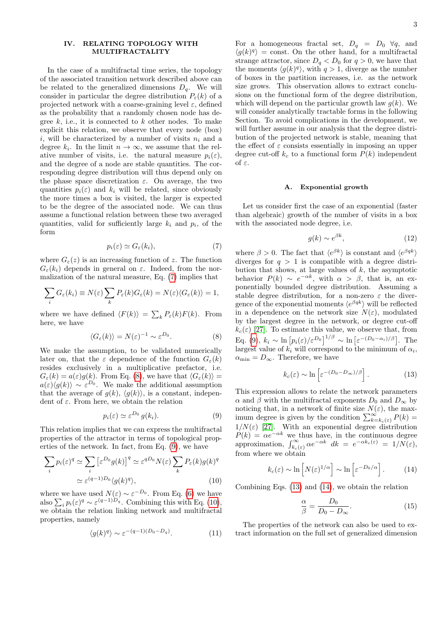### <span id="page-3-0"></span>IV. RELATING TOPOLOGY WITH MULTIFRACTALITY

In the case of a multifractal time series, the topology of the associated transition network described above can be related to the generalized dimensions  $D_q$ . We will consider in particular the degree distribution  $P_{\varepsilon}(k)$  of a projected network with a coarse-graining level  $\varepsilon$ , defined as the probability that a randomly chosen node has degree  $k$ , i.e., it is connected to  $k$  other nodes. To make explicit this relation, we observe that every node (box) i, will be characterized by a number of visits  $n_i$  and a degree  $k_i$ . In the limit  $n \to \infty$ , we assume that the relative number of visits, i.e. the natural measure  $p_i(\varepsilon)$ , and the degree of a node are stable quantities. The corresponding degree distribution will thus depend only on the phase space discretization  $\varepsilon$ . On average, the two quantities  $p_i(\varepsilon)$  and  $k_i$  will be related, since obviously the more times a box is visited, the larger is expected to be the degree of the associated node. We can thus assume a functional relation between these two averaged quantities, valid for sufficiently large  $k_i$  and  $p_i$ , of the form

<span id="page-3-1"></span>
$$
p_i(\varepsilon) \simeq G_{\varepsilon}(k_i),\tag{7}
$$

where  $G_{\varepsilon}(z)$  is an increasing function of z. The function  $G_{\varepsilon}(k_i)$  depends in general on  $\varepsilon$ . Indeed, from the normalization of the natural measure, Eq. [\(7\)](#page-3-1) implies that

<span id="page-3-2"></span>
$$
\sum_i G_{\varepsilon}(k_i) \equiv N(\varepsilon) \sum_k P_{\varepsilon}(k) G_{\varepsilon}(k) = N(\varepsilon) \langle G_{\varepsilon}(k) \rangle = 1,
$$

where we have defined  $\langle F(k) \rangle = \sum_{k} P_{\varepsilon}(k)F(k)$ . From here, we have

$$
\langle G_{\varepsilon}(k) \rangle = N(\varepsilon)^{-1} \sim \varepsilon^{D_0}.
$$
 (8)

We make the assumption, to be validated numerically later on, that the  $\varepsilon$  dependence of the function  $G_{\varepsilon}(k)$ resides exclusively in a multiplicative prefactor, i.e.  $G_{\varepsilon}(k) = a(\varepsilon)g(k)$ . From Eq. [\(8\)](#page-3-2), we have that  $\langle G_{\varepsilon}(k) \rangle =$  $a(\varepsilon)\langle g(k)\rangle \sim \varepsilon^{D_0}$ . We make the additional assumption that the average of  $q(k)$ ,  $\langle q(k) \rangle$ , is a constant, independent of  $\varepsilon$ . From here, we obtain the relation

<span id="page-3-3"></span>
$$
p_i(\varepsilon) \simeq \varepsilon^{D_0} g(k_i). \tag{9}
$$

This relation implies that we can express the multifractal properties of the attractor in terms of topological properties of the network. In fact, from Eq. [\(9\)](#page-3-3), we have

<span id="page-3-4"></span>
$$
\sum_{i} p_i(\varepsilon)^q \simeq \sum_{i} \left[ \varepsilon^{D_0} g(k) \right]^q \simeq \varepsilon^{qD_0} N(\varepsilon) \sum_{k} P_{\varepsilon}(k) g(k)^q
$$

$$
\simeq \varepsilon^{(q-1)D_0} \langle g(k)^q \rangle, \tag{10}
$$

where we have used  $N(\varepsilon) \sim \varepsilon^{-D_0}$ . From Eq. [\(6\)](#page-2-3) we have also  $\sum_i p_i(\varepsilon)^q \sim \varepsilon^{(q-1)D_q}$ . Combining this with Eq. [\(10\)](#page-3-4), we obtain the relation linking network and multifractal properties, namely

<span id="page-3-7"></span>
$$
\langle g(k)^q \rangle \sim \varepsilon^{-(q-1)(D_0 - D_q)}.\tag{11}
$$

For a homogeneous fractal set,  $D_q = D_0 \ \forall q$ , and  $\langle g(k)^q \rangle$  = const. On the other hand, for a multifractal strange attractor, since  $D_q < D_0$  for  $q > 0$ , we have that the moments  $\langle g(k)^q \rangle$ , with  $q > 1$ , diverge as the number of boxes in the partition increases, i.e. as the network size grows. This observation allows to extract conclusions on the functional form of the degree distribution, which will depend on the particular growth law  $q(k)$ . We will consider analytically tractable forms in the following Section. To avoid complications in the development, we will further assume in our analysis that the degree distribution of the projected network is stable, meaning that the effect of  $\varepsilon$  consists essentially in imposing an upper degree cut-off  $k_c$  to a functional form  $P(k)$  independent of ε.

### A. Exponential growth

Let us consider first the case of an exponential (faster than algebraic) growth of the number of visits in a box with the associated node degree, i.e.

$$
g(k) \sim e^{\beta k},\tag{12}
$$

where  $\beta > 0$ . The fact that  $\langle e^{\beta k} \rangle$  is constant and  $\langle e^{\beta q k} \rangle$ diverges for  $q > 1$  is compatible with a degree distribution that shows, at large values of  $k$ , the asymptotic behavior  $P(k) \sim e^{-\alpha k}$ , with  $\alpha > \beta$ , that is, an exponentially bounded degree distribution. Assuming a stable degree distribution, for a non-zero  $\varepsilon$  the divergence of the exponential moments  $\langle e^{\beta qk} \rangle$  will be reflected in a dependence on the network size  $N(\varepsilon)$ , modulated by the largest degree in the network, or degree cut-off  $k_c(\varepsilon)$  [\[27\]](#page-8-7). To estimate this value, we observe that, from Eq. [\(9\)](#page-3-3),  $k_i \sim \ln \left[ p_i(\varepsilon)/\varepsilon^{D_0} \right]^{1/\beta} \sim \ln \left[ \varepsilon^{-(D_0 - \alpha_i)/\beta} \right]$ . The largest value of  $k_i$  will correspond to the minimum of  $\alpha_i$ ,  $\alpha_{\min} = D_{\infty}$ . Therefore, we have

<span id="page-3-5"></span>
$$
k_c(\varepsilon) \sim \ln \left[ \varepsilon^{-(D_0 - D_{\infty})/\beta} \right]. \tag{13}
$$

This expression allows to relate the network parameters  $\alpha$  and  $\beta$  with the multifractal exponents  $D_0$  and  $D_{\infty}$  by noticing that, in a network of finite size  $N(\varepsilon)$ , the maximum degree is given by the condition  $\sum_{k=k_c(\varepsilon)}^{\infty} P(k) =$  $1/N(\varepsilon)$  [\[27\]](#page-8-7). With an exponential degree distribution  $P(k) = \alpha e^{-\alpha k}$  we thus have, in the continuous degree approximation,  $\int_{k_c(\varepsilon)}^{\infty} \alpha e^{-\alpha k} dk = e^{-\alpha k_c(\varepsilon)} = 1/N(\varepsilon),$ from where we obtain

<span id="page-3-6"></span>
$$
k_c(\varepsilon) \sim \ln \left[ N(\varepsilon)^{1/\alpha} \right] \sim \ln \left[ \varepsilon^{-D_0/\alpha} \right]. \tag{14}
$$

Combining Eqs. [\(13\)](#page-3-5) and [\(14\)](#page-3-6), we obtain the relation

<span id="page-3-8"></span>
$$
\frac{\alpha}{\beta} = \frac{D_0}{D_0 - D_\infty}.\tag{15}
$$

The properties of the network can also be used to extract information on the full set of generalized dimension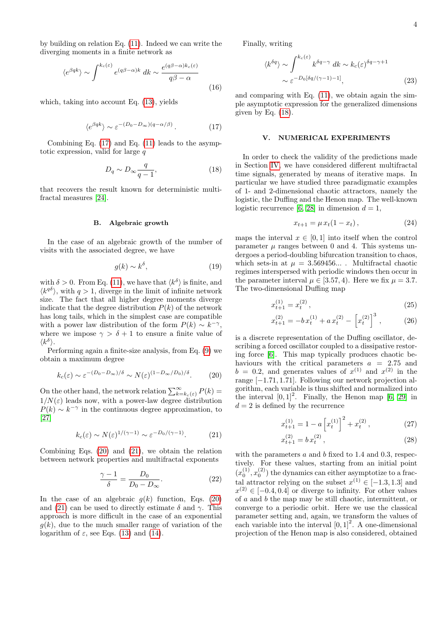by building on relation Eq. [\(11\)](#page-3-7). Indeed we can write the diverging moments in a finite network as

$$
\langle e^{\beta q k} \rangle \sim \int^{k_c(\varepsilon)} e^{(q\beta - \alpha)k} dk \sim \frac{e^{(q\beta - \alpha)k_c(\varepsilon)}}{q\beta - \alpha}
$$
\n(16)

which, taking into account Eq. [\(13\)](#page-3-5), yields

<span id="page-4-1"></span>
$$
\langle e^{\beta q k} \rangle \sim \varepsilon^{-(D_0 - D_{\infty})(q - \alpha/\beta)}.
$$
 (17)

Combining Eq. [\(17\)](#page-4-1) and Eq. [\(11\)](#page-3-7) leads to the asymptotic expression, valid for large  $q$ 

<span id="page-4-4"></span>
$$
D_q \sim D_\infty \frac{q}{q-1},\tag{18}
$$

that recovers the result known for deterministic multifractal measures [\[24\]](#page-8-2).

### B. Algebraic growth

In the case of an algebraic growth of the number of visits with the associated degree, we have

$$
g(k) \sim k^{\delta},\tag{19}
$$

with  $\delta > 0$ . From Eq. [\(11\)](#page-3-7), we have that  $\langle k^{\delta} \rangle$  is finite, and  $\langle k^{q\delta} \rangle$ , with  $q > 1$ , diverge in the limit of infinite network size. The fact that all higher degree moments diverge indicate that the degree distribution  $P(k)$  of the network has long tails, which in the simplest case are compatible with a power law distribution of the form  $P(k) \sim k^{-\gamma}$ , where we impose  $\gamma > \delta + 1$  to ensure a finite value of  $\langle k^{\delta} \rangle$ .

Performing again a finite-size analysis, from Eq. [\(9\)](#page-3-3) we obtain a maximum degree

<span id="page-4-2"></span>
$$
k_c(\varepsilon) \sim \varepsilon^{-(D_0 - D_{\infty})/\delta} \sim N(\varepsilon)^{(1 - D_{\infty}/D_0)/\delta}.
$$
 (20)

On the other hand, the network relation  $\sum_{k=k_c(\varepsilon)}^{\infty} P(k) =$  $1/N(\varepsilon)$  leads now, with a power-law degree distribution  $P(k) \sim k^{-\gamma}$  in the continuous degree approximation, to [\[27\]](#page-8-7)

<span id="page-4-3"></span>
$$
k_c(\varepsilon) \sim N(\varepsilon)^{1/(\gamma - 1)} \sim \varepsilon^{-D_0/(\gamma - 1)}.
$$
 (21)

Combining Eqs. [\(20\)](#page-4-2) and [\(21\)](#page-4-3), we obtain the relation between network properties and multifractal exponents

<span id="page-4-5"></span>
$$
\frac{\gamma - 1}{\delta} = \frac{D_0}{D_0 - D_\infty}.\tag{22}
$$

In the case of an algebraic  $g(k)$  function, Eqs. [\(20\)](#page-4-2) and [\(21\)](#page-4-3) can be used to directly estimate  $\delta$  and  $\gamma$ . This approach is more difficult in the case of an exponential  $q(k)$ , due to the much smaller range of variation of the logarithm of  $\varepsilon$ , see Eqs. [\(13\)](#page-3-5) and [\(14\)](#page-3-6).

Finally, writing

$$
\langle k^{\delta q} \rangle \sim \int_{\epsilon}^{k_c(\epsilon)} k^{\delta q - \gamma} dk \sim k_c(\epsilon)^{\delta q - \gamma + 1}
$$
  
 
$$
\sim \epsilon^{-D_0[\delta q/(\gamma - 1) - 1]}, \tag{23}
$$

and comparing with Eq.  $(11)$ , we obtain again the simple asymptotic expression for the generalized dimensions given by Eq.  $(18)$ .

### <span id="page-4-0"></span>V. NUMERICAL EXPERIMENTS

In order to check the validity of the predictions made in Section [IV,](#page-3-0) we have considered different multifractal time signals, generated by means of iterative maps. In particular we have studied three paradigmatic examples of 1- and 2-dimensional chaotic attractors, namely the logistic, the Duffing and the Henon map. The well-known logistic recurrence [\[6,](#page-7-4) [28\]](#page-8-8) in dimension  $d = 1$ ,

$$
x_{t+1} = \mu x_t (1 - x_t), \tag{24}
$$

maps the interval  $x \in [0, 1]$  into itself when the control parameter  $\mu$  ranges between 0 and 4. This systems undergoes a period-doubling bifurcation transition to chaos, which sets-in at  $\mu = 3.569456...$  . Multifractal chaotic regimes interspersed with periodic windows then occur in the parameter interval  $\mu \in [3.57, 4)$ . Here we fix  $\mu = 3.7$ . The two-dimensional Duffing map

$$
x_{t+1}^{(1)} = x_t^{(2)},\tag{25}
$$

$$
x_{t+1}^{(2)} = -bx_t^{(1)} + ax_t^{(2)} - \left[x_t^{(2)}\right]^3, \qquad (26)
$$

is a discrete representation of the Duffing oscillator, describing a forced oscillator coupled to a dissipative restoring force [\[6\]](#page-7-4). This map typically produces chaotic behaviours with the critical parameters  $a = 2.75$  and  $b = 0.2$ , and generates values of  $x^{(1)}$  and  $x^{(2)}$  in the range [−1.71, 1.71]. Following our network projection algorithm, each variable is thus shifted and normalized into the interval  $[0, 1]^2$ . Finally, the Henon map  $[6, 29]$  $[6, 29]$  in  $d = 2$  is defined by the recurrence

$$
x_{t+1}^{(1)} = 1 - a \left[ x_t^{(1)} \right]^2 + x_t^{(2)}, \tag{27}
$$

$$
x_{t+1}^{(2)} = b x_t^{(2)}, \t\t(28)
$$

with the parameters  $a$  and  $b$  fixed to 1.4 and 0.3, respectively. For these values, starting from an initial point  $(x_0^{(1)}, x_0^{(2)})$  the dynamics can either asymptotize to a fractal attractor relying on the subset  $x^{(1)} \in [-1.3, 1.3]$  and  $x^{(2)} \in [-0.4, 0.4]$  or diverge to infinity. For other values of a and b the map may be still chaotic, intermittent, or converge to a periodic orbit. Here we use the classical parameter setting and, again, we transform the values of each variable into the interval  $[0, 1]^2$ . A one-dimensional projection of the Henon map is also considered, obtained

x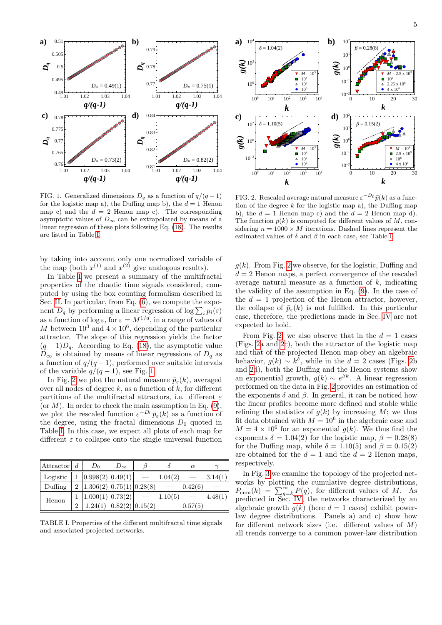

<span id="page-5-1"></span>FIG. 1. Generalized dimensions  $D_q$  as a function of  $q/(q-1)$ for the logistic map a), the Duffing map b), the  $d = 1$  Henon map c) and the  $d = 2$  Henon map c). The corresponding asymptotic values of  $D_{\infty}$  can be extrapolated by means of a linear regression of these plots following Eq. [\(18\)](#page-4-4). The results are listed in Table [I.](#page-5-0)

by taking into account only one normalized variable of the map (both  $x^{(1)}$  and  $x^{(2)}$  give analogous results).

In Table [I](#page-5-0) we present a summary of the multifractal properties of the chaotic time signals considered, computed by using the box counting formalism described in Sec. [II.](#page-2-0) In particular, from Eq. [\(6\)](#page-2-3), we compute the exponent  $D_q$  by performing a linear regression of log  $\sum_i p_i(\varepsilon)$ as a function of  $\log \varepsilon$ , for  $\varepsilon = M^{1/d}$ , in a range of values of M between  $10^3$  and  $4 \times 10^6$ , depending of the particular attractor. The slope of this regression yields the factor  $(q-1)D_q$ . According to Eq. [\(18\)](#page-4-4), the asymptotic value  $D_{\infty}$  is obtained by means of linear regressions of  $D_q$  as a function of  $q/(q-1)$ , performed over suitable intervals of the variable  $q/(q-1)$ , see Fig. [1.](#page-5-1)

In Fig. [2](#page-5-2) we plot the natural measure  $\bar{p}_{\varepsilon}(k)$ , averaged over all nodes of degree  $k$ , as a function of  $k$ , for different partitions of the multifractal attractors, i.e. different  $\varepsilon$ (or  $M$ ). In order to check the main assumption in Eq. [\(9\)](#page-3-3), we plot the rescaled function  $\varepsilon^{-D_0} \bar{p}_{\varepsilon}(k)$  as a function of the degree, using the fractal dimensions  $D_0$  quoted in Table [I.](#page-5-0) In this case, we expect all plots of each map for different  $\varepsilon$  to collapse onto the single universal function

| $ $ Attractor $ d$ |                | $D_0$                             | $D_{\infty}$                  |         | $\alpha$ |         |
|--------------------|----------------|-----------------------------------|-------------------------------|---------|----------|---------|
| Logistic           |                | 1   0.998(2) 0.49(1)              |                               | 1.04(2) |          | 3.14(1) |
| Duffing            |                | 2 1.306(2) 0.75(1) 0.28(8)        |                               |         | 0.42(6)  |         |
| Henon              |                | $1 \mid 1.000(1) \; 0.73(2) \mid$ |                               | 1.10(5) |          | 4.48(1) |
|                    | $\overline{2}$ |                                   | $1.24(1)$ $0.82(2)$ $0.15(2)$ |         | 0.57(5)  |         |

<span id="page-5-0"></span>TABLE I. Properties of the different multifractal time signals and associated projected networks.



<span id="page-5-2"></span>FIG. 2. Rescaled average natural measure  $\varepsilon^{-D_0} \bar{p}(k)$  as a function of the degree  $k$  for the logistic map a), the Duffing map b), the  $d = 1$  Henon map c) and the  $d = 2$  Henon map d). The function  $\bar{p}(k)$  is computed for different values of M, considering  $n = 1000 \times M$  iterations. Dashed lines represent the estimated values of  $\delta$  and  $\beta$  in each case, see Table [I.](#page-5-0)

 $q(k)$ . From Fig. [2](#page-5-2) we observe, for the logistic, Duffing and  $d = 2$  Henon maps, a perfect convergence of the rescaled average natural measure as a function of  $k$ , indicating the validity of the assumption in Eq. [\(9\)](#page-3-3). In the case of the  $d = 1$  projection of the Henon attractor, however, the collapse of  $\bar{p}_{\varepsilon}(k)$  is not fulfilled. In this particular case, therefore, the predictions made in Sec. [IV](#page-3-0) are not expected to hold.

From Fig. [2,](#page-5-2) we also observe that in the  $d = 1$  cases (Figs. [2a](#page-5-2) and [2c](#page-5-2)), both the attractor of the logistic map and that of the projected Henon map obey an algebraic behavior,  $g(k) \sim k^{\delta}$ , while in the  $d = 2$  cases (Figs. [2b](#page-5-2)) and [2d](#page-5-2)), both the Duffing and the Henon systems show an exponential growth,  $g(k) \sim e^{\beta k}$ . A linear regression performed on the data in Fig. [2](#page-5-2) provides an estimation of the exponents  $\delta$  and  $\beta$ . In general, it can be noticed how the linear profiles become more defined and stable while refining the statistics of  $q(k)$  by increasing M; we thus fit data obtained with  $M = 10^6$  in the algebraic case and  $M = 4 \times 10^6$  for an exponential  $g(k)$ . We thus find the exponents  $\delta = 1.04(2)$  for the logistic map,  $\beta = 0.28(8)$ for the Duffing map, while  $\delta = 1.10(5)$  and  $\beta = 0.15(2)$ are obtained for the  $d = 1$  and the  $d = 2$  Henon maps, respectively.

In Fig. [3](#page-6-1) we examine the topology of the projected networks by plotting the cumulative degree distributions,  $P_{\text{cum}}(k) = \sum_{q=k}^{\infty} P(q)$ , for different values of M. As predicted in Sec. [IV,](#page-3-0) the networks characterized by an algebraic growth  $q(k)$  (here  $d = 1$  cases) exhibit powerlaw degree distributions. Panels a) and c) show how for different network sizes (i.e. different values of  $M$ ) all trends converge to a common power-law distribution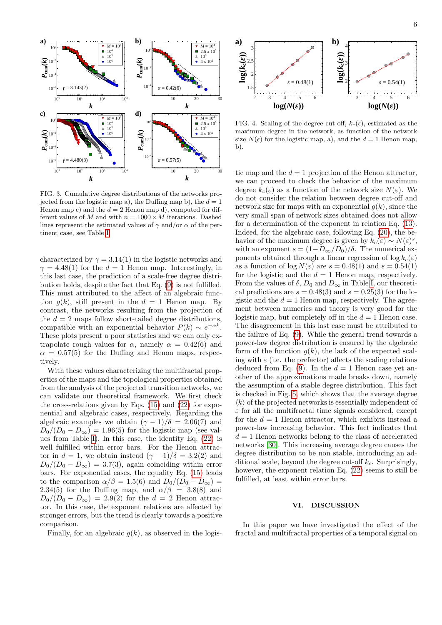

<span id="page-6-1"></span>FIG. 3. Cumulative degree distributions of the networks projected from the logistic map a), the Duffing map b), the  $d = 1$ Henon map c) and the  $d = 2$  Henon map d), computed for different values of M and with  $n = 1000 \times M$  iterations. Dashed lines represent the estimated values of  $\gamma$  and/or  $\alpha$  of the pertinent case, see Table [I.](#page-5-0)

characterized by  $\gamma = 3.14(1)$  in the logistic networks and  $\gamma = 4.48(1)$  for the  $d = 1$  Henon map. Interestingly, in this last case, the prediction of a scale-free degree distribution holds, despite the fact that Eq. [\(9\)](#page-3-3) is not fulfilled. This must attributed to the affect of an algebraic function  $q(k)$ , still present in the  $d = 1$  Henon map. By contrast, the networks resulting from the projection of the  $d = 2$  maps follow short-tailed degree distributions, compatible with an exponential behavior  $P(k) \sim e^{-\alpha k}$ . These plots present a poor statistics and we can only extrapolate rough values for  $\alpha$ , namely  $\alpha = 0.42(6)$  and  $\alpha = 0.57(5)$  for the Duffing and Henon maps, respectively.

With these values characterizing the multifractal properties of the maps and the topological properties obtained from the analysis of the projected transition networks, we can validate our theoretical framework. We first check the cross-relations given by Eqs. [\(15\)](#page-3-8) and [\(22\)](#page-4-5) for exponential and algebraic cases, respectively. Regarding the algebraic examples we obtain  $(\gamma - 1)/\delta = 2.06(7)$  and  $D_0/(D_0 - D_\infty) = 1.96(5)$  for the logistic map (see values from Table [I\)](#page-5-0). In this case, the identity Eq. [\(22\)](#page-4-5) is well fulfilled within error bars. For the Henon attractor in  $d = 1$ , we obtain instead  $(\gamma - 1)/\delta = 3.2(2)$  and  $D_0/(D_0 - D_{\infty}) = 3.7(3)$ , again coinciding within error bars. For exponential cases, the equality Eq. [\(15\)](#page-3-8) leads to the comparison  $\alpha/\beta = 1.5(6)$  and  $D_0/(D_0 - D_\infty)$ 2.34(5) for the Duffing map, and  $\alpha/\beta = 3.8(8)$  and  $D_0/(D_0 - D_{\infty}) = 2.9(2)$  for the  $d = 2$  Henon attractor. In this case, the exponent relations are affected by stronger errors, but the trend is clearly towards a positive comparison.

Finally, for an algebraic  $q(k)$ , as observed in the logis-



 b). size  $N(\epsilon)$  for the logistic map, a), and the  $d = 1$  Henon map, 2.5 x 10<sup>5</sup> | FIG. 4. Scaling of the degree cut-off,  $k_c(\epsilon)$ , estimated as the  $\frac{10^6}{4 \times 10^6}$  maximum degree in the network, as function of the network

**k** we can proceed to check the behavior of the maximum <sup>10</sup>  $^{20}$  <sup>30</sup> tic map and the  $d = 1$  projection of the Henon attractor, degree  $k_c(\varepsilon)$  as a function of the network size  $N(\varepsilon)$ . We do not consider the relation between degree cut-off and network size for maps with an exponential  $g(k)$ , since the very small span of network sizes obtained does not allow for a determination of the exponent in relation Eq. [\(13\)](#page-3-5). Indeed, for the algebraic case, following Eq. [\(20\)](#page-4-2), the behavior of the maximum degree is given by  $k_c(\varepsilon) \sim N(\varepsilon)^s$ , with an exponent  $s = (1 - D_{\infty}/D_0)/\delta$ . The numerical exponents obtained through a linear regression of  $\log k_c(\varepsilon)$ as a function of  $\log N(\varepsilon)$  are  $s = 0.48(1)$  and  $s = 0.54(1)$ for the logistic and the  $d = 1$  Henon map, respectively. From the values of  $\delta$ ,  $D_0$  and  $D_{\infty}$  in Table [I,](#page-5-0) our theoretical predictions are  $s = 0.48(3)$  and  $s = 0.25(3)$  for the logistic and the  $d = 1$  Henon map, respectively. The agreement between numerics and theory is very good for the logistic map, but completely off in the  $d = 1$  Henon case. The disagreement in this last case must be attributed to the failure of Eq. [\(9\)](#page-3-3). While the general trend towards a power-law degree distribution is ensured by the algebraic form of the function  $g(k)$ , the lack of the expected scaling with  $\varepsilon$  (i.e. the prefactor) affects the scaling relations deduced from Eq. [\(9\)](#page-3-3). In the  $d = 1$  Henon case yet another of the approximations made breaks down, namely the assumption of a stable degree distribution. This fact is checked in Fig. [5,](#page-7-15) which shows that the average degree  $\langle k \rangle$  of the projected networks is essentially independent of  $\varepsilon$  for all the multifractal time signals considered, except for the  $d = 1$  Henon attractor, which exhibits instead a power-law increasing behavior. This fact indicates that  $d = 1$  Henon networks belong to the class of accelerated networks [\[30\]](#page-8-10). This increasing average degree causes the degree distribution to be non stable, introducing an additional scale, beyond the degree cut-off  $k_c$ . Surprisingly, however, the exponent relation Eq. [\(22\)](#page-4-5) seems to still be fulfilled, at least within error bars.

### <span id="page-6-0"></span>VI. DISCUSSION

In this paper we have investigated the effect of the fractal and multifractal properties of a temporal signal on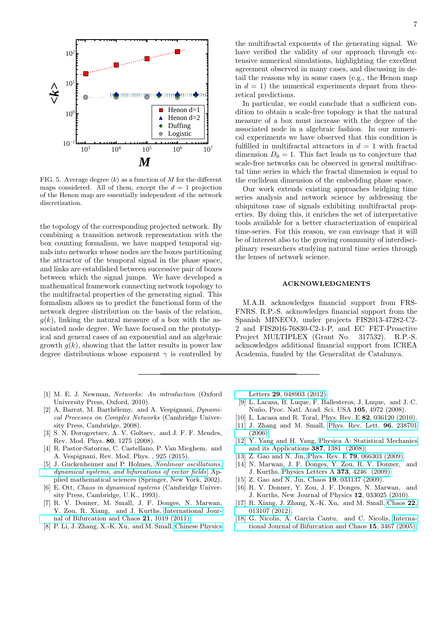

<span id="page-7-15"></span>FIG. 5. Average degree  $\langle k \rangle$  as a function of  $M$  for the different maps considered. All of them, except the  $d = 1$  projection of the Henon map are essentially independent of the network discretization.

the topology of the corresponding projected network. By combining a transition network representation with the box counting formalism, we have mapped temporal signals into networks whose nodes are the boxes partitioning the attractor of the temporal signal in the phase space, and links are established between successive pair of boxes between which the signal jumps. We have developed a mathematical framework connecting network topology to the multifractal properties of the generating signal. This formalism allows us to predict the functional form of the network degree distribution on the basis of the relation,  $g(k)$ , linking the natural measure of a box with the associated node degree. We have focused on the prototypical and general cases of an exponential and an algebraic growth  $g(k)$ , showing that the latter results in power law degree distributions whose exponent  $\gamma$  is controlled by

- <span id="page-7-0"></span>[1] M. E. J. Newman, Networks: An introduction (Oxford University Press, Oxford, 2010).
- <span id="page-7-1"></span>[2] A. Barrat, M. Barthélemy, and A. Vespignani,  $Dynamic_i$ cal Processes on Complex Networks (Cambridge University Press, Cambridge, 2008).
- [3] S. N. Dorogovtsev, A. V. Goltsev, and J. F. F. Mendes, Rev. Mod. Phys. 80, 1275 (2008).
- <span id="page-7-2"></span>[4] R. Pastor-Satorras, C. Castellano, P. Van Mieghem, and A. Vespignani, Rev. Mod. Phys. , 925 (2015).
- <span id="page-7-3"></span>[5] J. Guckenheimer and P. Holmes, [Nonlinear oscillations,](http://opac.inria.fr/record=b1133629) [dynamical systems, and bifurcations of vector fields](http://opac.inria.fr/record=b1133629), Applied mathematical sciences (Springer, New York, 2002).
- <span id="page-7-4"></span>[6] E. Ott, Chaos in dynamical systems (Cambridge University Press, Cambridge, U.K., 1993).
- <span id="page-7-5"></span>[7] R. V. Donner, M. Small, J. F. Donges, N. Marwan, Y. Zou, R. Xiang, and J. Kurths, [International Jour](http://dx.doi.org/10.1142/S0218127411029021)[nal of Bifurcation and Chaos](http://dx.doi.org/10.1142/S0218127411029021) 21, 1019 (2011).
- <span id="page-7-6"></span>[8] P. Li, J. Zhang, X.-K. Xu, and M. Small, [Chinese Physics](http://dx.doi.org/ 10.1088/0256-307X/29/4/048903)

the multifractal exponents of the generating signal. We have verified the validity of our approach through extensive numerical simulations, highlighting the excellent agreement observed in many cases, and discussing in detail the reasons why in some cases (e.g., the Henon map in  $d = 1$ ) the numerical experiments depart from theoretical predictions.

 $M$  scale-free networks can be observed in general multifrac- $\frac{6}{10^7}$  fulfilled in multifractal attractors in  $d = 1$  with fractal In particular, we could conclude that a sufficient condition to obtain a scale-free topology is that the natural measure of a box must increase with the degree of the associated node in a algebraic fashion. In our numerical experiments we have observed that this condition is dimension  $D_0 = 1$ . This fact leads us to conjecture that tal time series in which the fractal dimension is equal to the euclidean dimension of the embedding phase space.

> Our work extends existing approaches bridging time series analysis and network science by addressing the ubiquitous case of signals exhibiting multifractal properties. By doing this, it enriches the set of interpretative tools available for a better characterization of empirical time-series. For this reason, we can envisage that it will be of interest also to the growing community of interdisciplinary researchers studying natural time series through the lenses of network science.

### ACKNOWLEDGMENTS

M.A.B. acknowledges financial support from FRS-FNRS. R.P.-S. acknowledges financial support from the Spanish MINECO, under projects FIS2013-47282-C2- 2 and FIS2016-76830-C2-1-P, and EC FET-Proactive Project MULTIPLEX (Grant No. 317532). R.P.-S. acknowledges additional financial support from ICREA Academia, funded by the Generalitat de Catalunya.

Letters 29[, 048903 \(2012\).](http://dx.doi.org/ 10.1088/0256-307X/29/4/048903)

- <span id="page-7-7"></span>[9] L. Lacasa, B. Luque, F. Ballesteros, J. Luque, and J. C. Nuño, Proc. Natl. Acad. Sci. USA 105, 4972 (2008).
- <span id="page-7-8"></span>[10] L. Lacasa and R. Toral, Phys. Rev. E 82, 036120 (2010).
- <span id="page-7-9"></span>[11] J. Zhang and M. Small, [Phys. Rev. Lett.](http://dx.doi.org/10.1103/PhysRevLett.96.238701) 96, 238701 [\(2006\).](http://dx.doi.org/10.1103/PhysRevLett.96.238701)
- <span id="page-7-10"></span>[12] Y. Yang and H. Yang, [Physica A: Statistical Mechanics](http://dx.doi.org/http://dx.doi.org/10.1016/j.physa.2007.10.055) [and its Applications](http://dx.doi.org/http://dx.doi.org/10.1016/j.physa.2007.10.055) 387, 1381 (2008).
- <span id="page-7-11"></span>[13] Z. Gao and N. Jin, Phys. Rev. E 79[, 066303 \(2009\).](http://dx.doi.org/10.1103/PhysRevE.79.066303)
- <span id="page-7-12"></span>[14] N. Marwan, J. F. Donges, Y. Zou, R. V. Donner, and J. Kurths, [Physics Letters A](http://dx.doi.org/ http://dx.doi.org/10.1016/j.physleta.2009.09.042) 373, 4246 (2009).
- [15] Z. Gao and N. Jin, Chaos **19**, 033137 (2009).
- [16] R. V. Donner, Y. Zou, J. F. Donges, N. Marwan, and J. Kurths, New Journal of Physics 12, 033025 (2010).
- <span id="page-7-13"></span>[17] R. Xiang, J. Zhang, X.-K. Xu, and M. Small, [Chaos](http://dx.doi.org/ http://dx.doi.org/10.1063/1.3673789) 22, [013107 \(2012\).](http://dx.doi.org/ http://dx.doi.org/10.1063/1.3673789)
- <span id="page-7-14"></span>[18] G. Nicolis, A. Garcia Cantu, and C. Nicolis, [Interna](http://dx.doi.org/10.1142/S0218127405014167)[tional Journal of Bifurcation and Chaos](http://dx.doi.org/10.1142/S0218127405014167) 15, 3467 (2005).